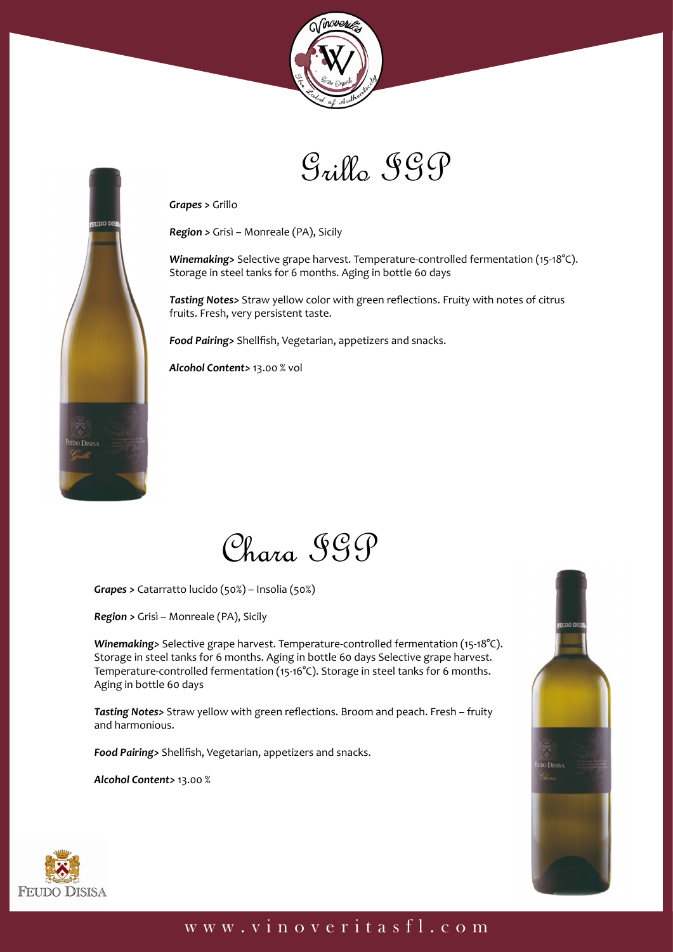



*Grapes >* Grillo

mo I

*Region >* Grisì – Monreale (PA), Sicily

*Winemaking>* Selective grape harvest. Temperature-controlled fermentation (15-18°C). Storage in steel tanks for 6 months. Aging in bottle 60 days

*Tasting Notes>* Straw yellow color with green reflections. Fruity with notes of citrus fruits. Fresh, very persistent taste.

*Food Pairing>* Shellfish, Vegetarian, appetizers and snacks.

*Alcohol Content>* 13.00 % vol



*Grapes >* Catarratto lucido (50%) – Insolia (50%)

*Region >* Grisì – Monreale (PA), Sicily

*Winemaking>* Selective grape harvest. Temperature-controlled fermentation (15-18°C). Storage in steel tanks for 6 months. Aging in bottle 60 days Selective grape harvest. Temperature-controlled fermentation (15-16°C). Storage in steel tanks for 6 months. Aging in bottle 60 days

*Tasting Notes>* Straw yellow with green reflections. Broom and peach. Fresh – fruity and harmonious.

*Food Pairing>* Shellfish, Vegetarian, appetizers and snacks.

*Alcohol Content>* 13.00 %



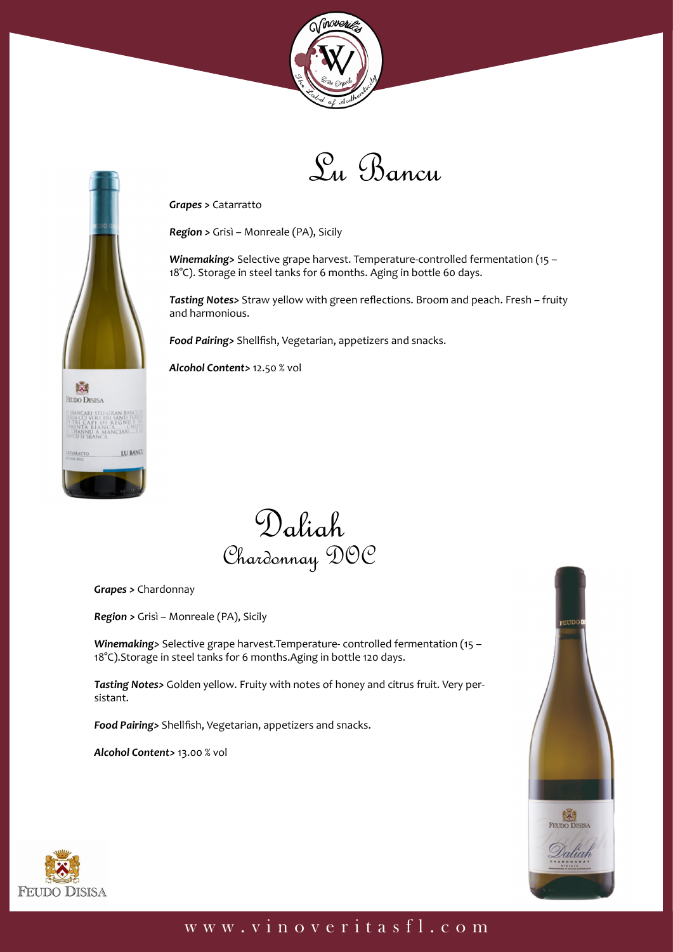



*Grapes >* Catarratto

*Region >* Grisì – Monreale (PA), Sicily

*Winemaking>* Selective grape harvest. Temperature-controlled fermentation (15 – 18°C). Storage in steel tanks for 6 months. Aging in bottle 60 days.

*Tasting Notes>* Straw yellow with green reflections. Broom and peach. Fresh – fruity and harmonious.

*Food Pairing>* Shellfish, Vegetarian, appetizers and snacks.

*Alcohol Content>* 12.50 % vol



*Grapes >* Chardonnay

LU BANCI

露 **FEUDO DISISA** 

*Region >* Grisì – Monreale (PA), Sicily

*Winemaking>* Selective grape harvest.Temperature- controlled fermentation (15 – 18°C).Storage in steel tanks for 6 months.Aging in bottle 120 days.

*Tasting Notes>* Golden yellow. Fruity with notes of honey and citrus fruit. Very persistant.

*Food Pairing>* Shellfish, Vegetarian, appetizers and snacks.

*Alcohol Content>* 13.00 % vol



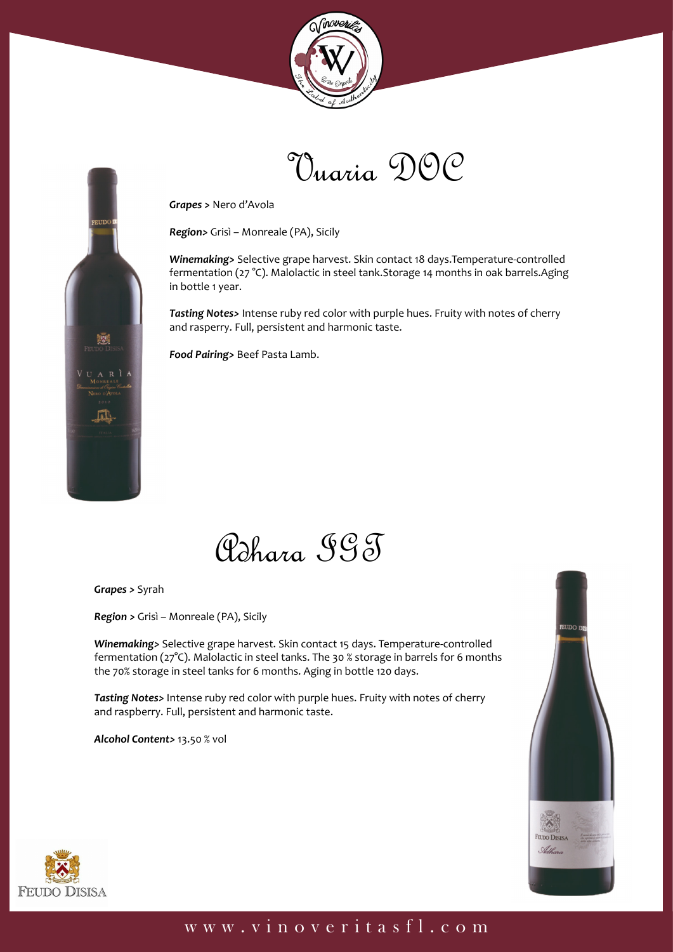



*Grapes >* Nero d'Avola

*Region>* Grisì – Monreale (PA), Sicily

*Winemaking>* Selective grape harvest. Skin contact 18 days.Temperature-controlled fermentation (27 °C). Malolactic in steel tank.Storage 14 months in oak barrels.Aging in bottle 1 year.

*Tasting Notes>* Intense ruby red color with purple hues. Fruity with notes of cherry and rasperry. Full, persistent and harmonic taste.

*Food Pairing>* Beef Pasta Lamb.

Adhara IGT

*Grapes >* Syrah

寥

**RL** 

R<sup>j</sup>

*Region >* Grisì – Monreale (PA), Sicily

*Winemaking>* Selective grape harvest. Skin contact 15 days. Temperature-controlled fermentation (27°C). Malolactic in steel tanks. The 30 % storage in barrels for 6 months the 70% storage in steel tanks for 6 months. Aging in bottle 120 days.

*Tasting Notes>* Intense ruby red color with purple hues. Fruity with notes of cherry and raspberry. Full, persistent and harmonic taste.

*Alcohol Content>* 13.50 % vol



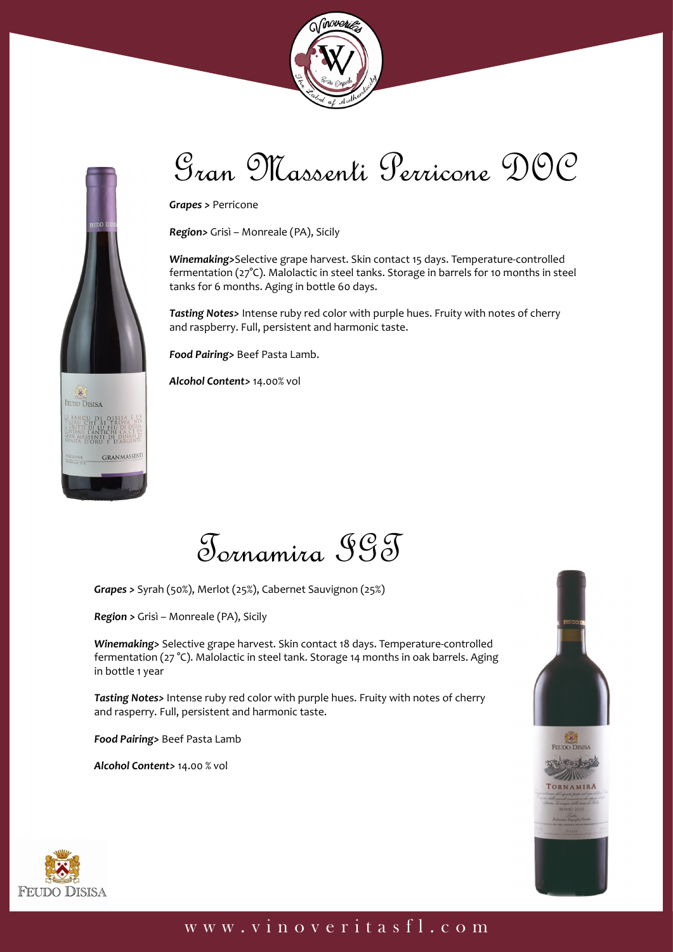



**FEUDO DISISA** 

**GRANMASSENT** 

# Gran Massenti Perricone DOC

*Grapes >* Perricone

*Region>* Grisì – Monreale (PA), Sicily

*Winemaking>*Selective grape harvest. Skin contact 15 days. Temperature-controlled fermentation (27°C). Malolactic in steel tanks. Storage in barrels for 10 months in steel tanks for 6 months. Aging in bottle 60 days.

*Tasting Notes>* Intense ruby red color with purple hues. Fruity with notes of cherry and raspberry. Full, persistent and harmonic taste.

*Food Pairing>* Beef Pasta Lamb.

*Alcohol Content>* 14.00% vol



*Grapes >* Syrah (50%), Merlot (25%), Cabernet Sauvignon (25%)

*Region >* Grisì – Monreale (PA), Sicily

*Winemaking>* Selective grape harvest. Skin contact 18 days. Temperature-controlled fermentation (27 °C). Malolactic in steel tank. Storage 14 months in oak barrels. Aging in bottle 1 year

*Tasting Notes>* Intense ruby red color with purple hues. Fruity with notes of cherry and rasperry. Full, persistent and harmonic taste.

*Food Pairing>* Beef Pasta Lamb

*Alcohol Content>* 14.00 % vol



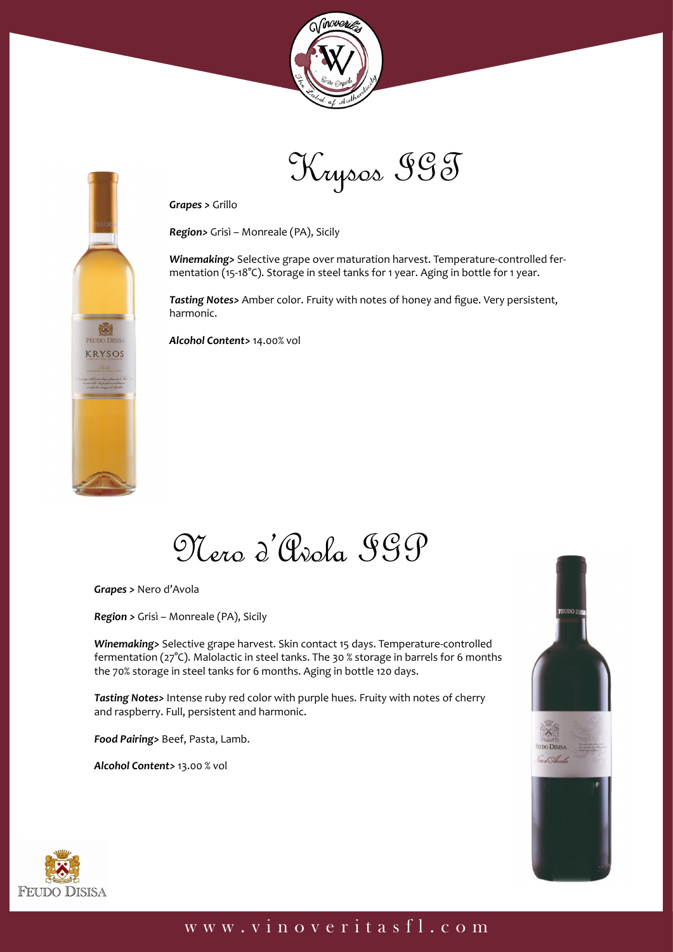

Krysos IGT

*Grapes >* Grillo

*Region>* Grisì – Monreale (PA), Sicily

*Winemaking>* Selective grape over maturation harvest. Temperature-controlled fermentation (15-18°C). Storage in steel tanks for 1 year. Aging in bottle for 1 year.

*Tasting Notes>* Amber color. Fruity with notes of honey and figue. Very persistent, harmonic.

*Alcohol Content>* 14.00% vol

# Nero d'Avola IGP

*Grapes >* Nero d'Avola

**FEUDO DISIS KRYSOS** 

*Region >* Grisì – Monreale (PA), Sicily

*Winemaking>* Selective grape harvest. Skin contact 15 days. Temperature-controlled fermentation (27°C). Malolactic in steel tanks. The 30 % storage in barrels for 6 months the 70% storage in steel tanks for 6 months. Aging in bottle 120 days.

*Tasting Notes>* Intense ruby red color with purple hues. Fruity with notes of cherry and raspberry. Full, persistent and harmonic.

*Food Pairing>* Beef, Pasta, Lamb.

*Alcohol Content>* 13.00 % vol